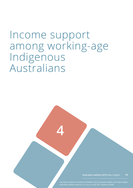# Income support among working-age Indigenous Australians

**4**

**Australia's welfare 2019** data insights **79**

Australian Institute of Health and Welfare 2019. *Australia's welfare 2019 data insights*.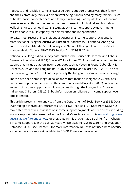Adequate and reliable income allows a person to support themselves, their family and their community. While a person's wellbeing is influenced by many factors—such as health, social connectedness and family functioning—adequate levels of income remain an essential component in the measurement of individual and household wellbeing (McLachlan et al. 2013; SCARC 2004). Income support by governments assists people to build capacity for self-reliance and independence.

To date, most research into Indigenous Australian income support recipients is cross-sectional using the Australian Bureau of Statistics (ABS) National Aboriginal and Torres Strait Islander Social Survey and National Aboriginal and Torres Strait Islander Health Survey (AIHW 2015:Section 7.1; SCRGSP 2016).

National-level longitudinal survey data, such as the Household, Income and Labour Dynamics in Australia (HILDA) Survey (Wilkins & Lass 2018), as well as other longitudinal studies that include data on income support, such as Youth in Focus (Cobb-Clark & Gørgens 2009) and the Longitudinal Study of Australian Children (AIFS 2015), do not focus on Indigenous Australians as generally the Indigenous sample is not very large.

There have been some longitudinal analyses that focus on Indigenous Australians on income support undertaken at the community level (Daly et al. 2002) and on the impacts of income support on child outcomes through the Longitudinal Study on Indigenous Children (DSS 2015) but information on reliance on income support over time is limited.

This article presents new analyses from the Department of Social Services (DSS) Data Over Multiple Individual Occurrences (DOMINO)—see Box 4.1. Data from DOMINO may differ from official statistics on income support payments and recipients, including income support data presented in the Australia's welfare snapshots [www.aihw.gov.au/](https://www.aihw.gov.au/australias-welfare/snapshots) [australias-welfare/snapshots](https://www.aihw.gov.au/australias-welfare/snapshots). Further, data in this article may also differ from 'Chapter 3 Income support over the past 20 years' which uses the DSS Research and Evaluation Database (RED)—see Chapter 3 for more information. RED was not used here because some non-income support variables in DOMINO were not available.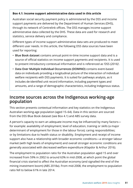#### **Box 4.1: Income support administrative data used in this article**

Australian social security payment policy is administered by the DSS and income support payments are delivered by the Department of Human Services (DHS), through its network of Centrelink offices. The DSS manages income support administrative data collected by the DHS. These data are used for research and statistics, service delivery and compliance.

Different types of income support administrative data sets are produced to meet different user needs. In this article, the following DSS data sources have been used for reporting:

- **Blue Book dataset** contains annual point-in-time income support data and is a source of official statistics on income support payments and recipients. It is used to present introductory contextual information and is referenced as 'DSS (2016)'.
- **Data Over Multiple Individual Occurrences (DOMINO)** contains event-based data on individuals providing a longitudinal picture of the interaction of individual welfare recipients with DSS payments. It is suited for pathways analysis, as it includes de-identified unit record information, including payment types and amounts, and a range of demographic characteristics, including Indigenous status.

## **Income sources across the Indigenous working-age population**

This section presents contextual information and key statistics on the Indigenous Australian working-age population (aged 15–64). Data in this section are sourced from the DSS Blue Book dataset (see Box 4.1) and ABS survey data.

A person's capacity to earn an adequate income may be influenced by many factors for example: availability of employment; level of education, training or skills (a major determinant of employment for those in the labour force); caring responsibilities; or by limitations due to health status or disability. Employment and receipt of income support also have a relationship with broader economic conditions—a stronger labour market (with high levels of employment) and overall stronger economic conditions are generally associated with decreased welfare expenditure (Klapdor & Arthur 2016).

The employment to population ratio for the Australian population aged 15 and over increased from 59% in 2002 to around 63% in mid-2008, at which point the global financial crisis started to affect the Australian economy (and signalled the end of the mining investment boom) (ABS 2018a). From mid-2008, the employment to population ratio fell to below 61% in late 2014.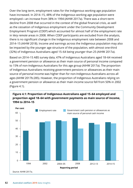Over the long term, employment rates for the Indigenous working-age population have increased. In 2014–15, 48% of the Indigenous working-age population were employed—an increase from 38% in 1994 (AIHW 2017a). There was a short-term decline from 2008 that occurred in the context of the global financial crisis, as well as the cessation of Indigenous employment under the Community Development Employment Program (CDEP) which accounted for almost half of the employment rate in *Very remote* areas in 2008. When CDEP participants are excluded from the analysis, there is no significant change in the Indigenous employment rate between 2008 and 2014–15 (AIHW 2018). Income and earnings across the Indigenous population may also be impacted by the younger age structure of the population, with almost one-third (32%) of Indigenous Australians aged 15–64 being younger than 25 (AIHW 2017a).

Based on 2014–15 ABS survey data, 47% of Indigenous Australians aged 18–64 received a government pension or allowance as their main source of personal income compared to 15% of non-Indigenous Australians for this age group (AIHW 2017a). The proportion of Indigenous Australians receiving government pensions or allowances as their main source of personal income was higher than for non-Indigenous Australians across all ages (AIHW 2017b:285). However, the proportion of Indigenous Australians relying on a government pension or allowance as their main income source fell from 50% in 2002 (Figure 4.1).

#### **Figure 4.1: Proportion of Indigenous Australians aged 15–64 employed and proportion aged 18–64 with government payments as main source of income, 1994 to 2014–15**

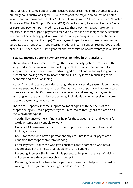The analysis of income support administrative data presented in this chapter focuses on Indigenous Australians aged 15–64 in receipt of the major non-education-related income support payments—that is, 1 of the following: Youth Allowance (Other); Newstart Allowance; Disability Support Pension (DSP); Carer Payment; Parenting Payment Single; or Parenting Payment Partnered—see Box 4.2. These payment types make up the majority of income support payments received by working-age Indigenous Australians who are not actively engaged in formal educational pathways (such as vocational or tertiary study or apprenticeships). These payment types have also been shown to be associated with longer term and intergenerational income support receipt (Cobb-Clark et al. 2017)—see 'Chapter 2 Intergenerational transmission of disadvantage in Australia'.

#### **Box 4.2: Income support payment types included in this analysis**

The Australian Government, through the social security system, provides both long- and short-term income support payments to people who cannot fully support themselves. For many disadvantaged Australians, including Indigenous Australians, having access to income support is a key factor in ensuring their economic and social wellbeing.

Not all financial support provided through the social security system is considered income support. Payment types classified as income support are those expected to serve as a recipient's primary source of income and are regular payments assisting with the day-to-day cost of living. Individuals can only receive 1 income support payment type at a time.

There are 18 specific income support payment types, with the focus of this chapter being on 6 main payment types—referred to throughout this article as the '6 payment types':

- Youth Allowance (Other)—financial help for those aged 16–21 and looking for work, or temporarily unable to work
- Newstart Allowance—the main income support for those unemployed and looking for work
- DSP—for those who have a permanent physical, intellectual or psychiatric condition that stops them from working
- Carer Payment—for those who give constant care to someone who has a severe disability or illness, or an adult who is frail and old
- Parenting Payment Single—for single parents to help with the cost of raising children (where the youngest child is under 8)
- Parenting Payment Partnered—for partnered parents to help with the cost of raising children (where the youngest child is under 6).

*continued*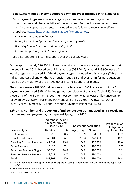#### **Box 4.2 (continued): Income support payment types included in this analysis**

Each payment type may have a range of payment levels depending on the circumstances and characteristics of the individual. Further information on these main income support payments is included in the following Australia's welfare snapshots [www.aihw.gov.au/australias-welfare/snapshots:](https://www.aihw.gov.au/australias-welfare/snapshots)

- *Indigenous income and finance*
- *Unemployment and parenting income support payments*
- *Disability Support Pension and Carer Payment*
- *Income support payments for older people*.

See also 'Chapter 3 Income support over the past 20 years'.

Of the approximately 220,800 Indigenous Australians on income support payments at the end of June 2016, based on official statistics (DSS 2016), around 189,900 were of working age and received 1 of the 6 payment types included in this analysis (Table 4.1). Indigenous Australians on the Age Pension (aged 65 and over) or in formal education made up the majority of the 31,000 other income support recipients.

The approximately 189,900 Indigenous Australians aged 15–64 receiving 1 of the 6 payments comprised 39% of the Indigenous population of this age (Table 4.1). Among those on 1 of the 6 payment types, the most common was Newstart Allowance (36%), followed by DSP (25%), Parenting Payment Single (19%), Youth Allowance (Other) (8.5%), Carer Payment (7.1%) and Parenting Payment Partnered (4.7%).

|                                   | Indigenous income<br>support recipients<br>aged 15-64 |      | Indigenous population    |                       | Proportion of<br>Indigenous |
|-----------------------------------|-------------------------------------------------------|------|--------------------------|-----------------------|-----------------------------|
| Payment type                      | Number                                                | %    | Age group <sup>(a)</sup> | Number <sup>(b)</sup> | population (%)              |
| Youth Allowance (Other)           | 16,213                                                | 8.5  | $16 - 21$                | 94,000                | 17.2                        |
| Newstart Allowance                | 68,501                                                | 36.1 | $22 - 64$                | 378,400               | 18.1                        |
| <b>Disability Support Pension</b> | 47,397                                                | 25.0 | 16–64                    | 472,800               | 10.0                        |
| Carer Payment                     | 13,423                                                | 7.1  | $15 - 64$                | 490,000               | 2.7                         |
| Parenting Payment Single          | 35,350                                                | 18.6 | $15 - 64$                | 490,000               | 7.2                         |
| Parenting Payment Partnered       | 9,017                                                 | 4.7  | $15 - 64$                | 490,000               | 1.8                         |
| Total                             | 189,901                                               | 100  | $15 - 64$                | 490.000               | 38.8                        |

#### **Table 4.1. Number and proportion of Indigenous Australians aged 15–64 receiving income support payments, by payment type, June 2016**

(a) The age group defines the age of individuals eligible for each payment type within the working-age population (15–64).

(b) Numbers are rounded to the nearest 100.

*Sources:* ABS 2018b; DSS 2016.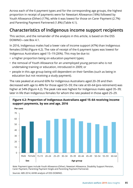Across each of the 6 payment types and for the corresponding age groups, the highest proportion in receipt of payments were for Newstart Allowance (18%) followed by Youth Allowance (Other) (17%), while it was lowest for those on Carer Payment (2.7%) and Parenting Payment Partnered (1.8%) (Table 4.1).

# **Characteristics of Indigenous income support recipients**

This section, and the remainder of the analysis in this article, is based on the DSS DOMINO—see Box 4.1.

In 2016, Indigenous males had a lower rate of income support (47%) than Indigenous females (55%) (Figure 4.2). The rate of receipt of the 6 payment types was lowest for Indigenous Australians aged 15–19 (26%). This may be due to:

- a higher proportion being on education payment types;
- the removal of Youth Allowance for an unemployed young person who is not undertaking training or education, introduced in 2009; or
- people in this age group being still dependent on their families (such as being in education but not receiving a study payment).

The rate peaked at around 60% for Indigenous Australians aged 20–39 and then decreased with age to 48% for those aged 55–59; the rate at 60–64 (pre-retirement) was higher at 54% (Figure 4.2). The peak rate was highest for Indigenous males aged 35–39; later in life than Indigenous females for whom the rate peaked in those aged 25–29.



*Note:* Payment types include Youth Allowance (Other), Newstart Allowance, Disability Support Pension, Carer Payment, Parenting Payment Single and Parenting Payment Partnered.

*Sources:* ABS 2014; AIHW analysis of DSS DOMINO.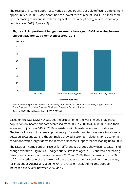The receipt of income support also varied by geography, possibly reflecting employment opportunities. In 2016, *Major cities* had the lowest rate of receipt (45%). This increased with increasing remoteness, with the highest rate of receipt being in *Remote and very remote* areas (56%) (Figure 4.3).



**Figure 4.3: Proportion of Indigenous Australians aged 15–64 receiving income** 

Based on the DSS DOMINO data set the proportion of the working-age Indigenous population on income support decreased from 50% in 2002 to 47% in 2007, and then increased to just over 51% in 2016, consistent with broader economic conditions. The trends in rates of income support receipt for males and females were fairly similar between 2002 and 2016, although males showed a stronger relationship to economic conditions, with a larger decrease in rates of income support receipt leading up to 2008.

The rates of income support receipt for different age groups show distinct patterns of change over time (Figure 4.4). Indigenous Australians aged 20–39 showed decreasing rates of income support receipt between 2002 and 2008, then increasing from 2009 to 2014—a reflection of the pattern of the broader economic conditions. In contrast, for Indigenous Australians aged 40–64, the rates of receipt of income support increased every year between 2002 and 2016.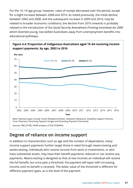For the 15–19 age group, however, rates of receipt decreased over the period, except for a slight increase between 2008 and 2010. As noted previously, the initial decline between 2002 and 2008, and the subsequent increase in 2009 and 2010, may be related to broader economic conditions; the decline from 2010 onwards is probably related to the introduction of the *Social Security Amendment (Training Incentives) Act 2009* which diverted young, low-skilled Australians away from unemployment benefits into educational pathways.



# **Degree of reliance on income support**

In addition to characteristics such as age and the number of dependants, many income support payments further target those in need through means-testing and assets-testing. Individuals who receive income from work or investments, or who have substantial assets, may have their benefit payments reduced or not receive any payments. Means-testing is designed so that at low incomes an individual will receive the full benefit, but once past a threshold, the payment will taper with increasing income until no benefit is received. The dollar value of the threshold is different for different payment types, as is the level of the payment.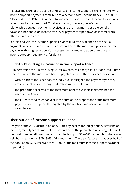A typical measure of the degree of reliance on income support is the extent to which income support payments contribute to a person's total income (Black & Lee 2009). A lack of data in DOMINO on the total income a person received means this variable cannot be directly measured. Total income can, however, be inferred from the relationship between payments received and the maximum possible benefit payable, since above an income-free level, payments taper down as income from other sources increases.

For this analysis, the income support reliance (ISR) rate is defined as the actual payments received over a period as a proportion of the maximum possible benefit payable, with a higher proportion representing a greater degree of reliance on income support—see Box 4.3 for details.

#### **Box 4.3: Calculating a measure of income support reliance**

To determine the ISR rate using DOMINO, each calendar year is divided into 3 time periods where the maximum benefit payable is fixed. Then, for each individual:

- within each of the 3 periods, the individual is assigned the payment type they are in receipt of for the longest duration within that period
- the proportion received of the maximum benefit available is determined for each of the 3 periods
- the ISR rate for a calendar year is the sum of the proportions of the maximum payment for the 3 periods, weighted by the relative time period for that calendar year.

## **Distribution of income support reliance**

Analysis of the 2016 distribution of ISR rates by deciles for Indigenous Australians on the 6 payment types shows that the proportion of the population receiving 0%–9% of the maximum benefit was similar for all deciles up to 50%–59%, after which there was a slight increase up to 80%–89% of the maximum. The clear feature is that over half of the population (56%) received 90%–100% of the maximum income support payment (Figure 4.5).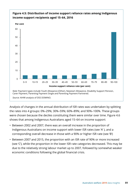

Analysis of changes in the annual distribution of ISR rates was undertaken by splitting the rates into 4 groups: 0%–29%; 30%–59%; 60%–89%; and 90%–100%. These groups were chosen because the deciles constituting them were similar over time. Figure 4.6 shows that among Indigenous Australians aged 15–64 on income support:

- Between 2002 and 2007, there was an overall increase in the proportion of Indigenous Australians on income support with lower ISR rates (see 'A' ), and a corresponding overall decrease in those with a 90% or higher ISR rate (see 'B')
- Between 2007 and 2015, the proportion with an ISR rate of 90% or more increased (see 'C'), while the proportion in the lower ISR rate categories decreased. This may be due to the relatively strong labour market up to 2007, followed by somewhat weaker economic conditions following the global financial crisis.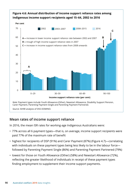

## **Mean rates of income support reliance**

In 2016, the mean ISR rates for working-age Indigenous Australians were:

- 77% across all 6 payment types—that is, on average, income support recipients were paid 77% of the maximum rate of benefit
- highest for recipients of DSP (91%) and Carer Payment (87%) (Figure 4.7)—correlating with individuals on these payment types being less likely to be in the labour force followed by Parenting Payment Single (86%) and Parenting Payment Partnered (79%)
- lowest for those on Youth Allowance (Other) (58%) and Newstart Allowance (72%), reflecting the greater likelihood of individuals in receipt of these payment types finding employment to supplement their income support payments.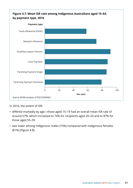

In 2016, the extent of ISR:

- differed markedly by age—those aged 15–19 had an overall mean ISR rate of around 57%, which increased to 74% for recipients aged 20–24 and to 87% for those aged 55–59
- was lower among Indigenous males (73%) compared with Indigenous females (81%) (Figure 4.8).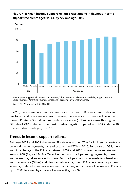

#### **Figure 4.8: Mean income support reliance rate among Indigenous income support recipients aged 15–64, by sex and age, 2016**

In 2016, there were only minor differences in the mean ISR rates across states and territories, and remoteness areas. However, there was a consistent decline in the mean ISR rate by Socio-Economic Indexes for Areas (SEIFA) deciles—with a higher ISR rate of 79% in decile 1 (the most disadvantaged) compared with 70% in decile 10 (the least disadvantaged) in 2016.

## **Trends in income support reliance**

Between 2002 and 2008, the mean ISR rate was around 70% for Indigenous Australians on working-age payments, increasing to around 77% in 2016. For those on DSP, there was little change in the ISR rate between 2002 and 2016, where the mean rate was around 90% (Figure 4.9). For Carer Payment and the 2 parenting payments, there was increasing reliance over this time. For the 2 payment types made to jobseekers, Youth Allowance (Other) and Newstart Allowance, mean ISR rates showed a pattern seemingly related to general economic conditions, with an overall decrease in ISR rates up to 2007 followed by an overall increase (Figure 4.9).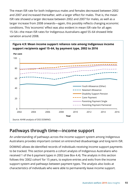The mean ISR rate for both Indigenous males and females decreased between 2002 and 2007 and increased thereafter, with a larger effect for males. That is, the mean ISR rate showed a larger decrease between 2002 and 2007 for males, as well as a larger increase from 2008 onwards—again, this possibly reflects changing economic conditions. This 'economic' effect was also evident in mean ISR rate for all ages 15–54—the mean ISR rates for Indigenous Australians aged 55–64 showed little variation around 2008.



# **Pathways through time—income support**

An understanding of pathways across the income support system among Indigenous Australians provides important context on entrenched disadvantage and long-term ISR.

DOMINO allows de-identified records of individuals receiving income support payments to be tracked. This section presents a cohort analysis of Indigenous Australians who received 1 of the 6 payment types in 2002 (see Box 4.4). The analysis in this section follows this '2002 cohort' for 15 years, to explore entries and exits from the income support system and pathways between payment types. The analysis also looks at characteristics of individuals who were able to permanently leave income support.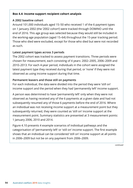#### **Box 4.4: Income support recipient cohort analysis**

#### **A 2002 baseline cohort**

Around 101,000 individuals aged 15–50 who received 1 of the 6 payment types on 1 January 2002 (the '2002 cohort') were tracked through DOMINO until the end of 2016. This age group was selected because they would still be included in the working-age population (aged 15–64) throughout the 15-year tracking period. Those who died were excluded, except for those who died but were not recorded as such.

#### **Latest payment types across 3 periods**

The 2002 cohort was tracked to assess payment transitions. Three periods were chosen for measurement, each consisting of 4 years: 2002–2005, 2006–2009 and 2010–2013. For each 4-year period, individuals in the cohort were assigned the latest payment type they received during that period, or 'none' if they were not observed as using income support during that time.

#### **Permanent leavers and those still on payments**

For each individual, the data were divided into the period they were 'still on' income support and the period when they had 'permanently left' income support.

A person was determined to have 'permanently left' only when they were not observed as having received any of the 6 payments at a given date and had not subsequently resumed any of those 6 payments before the end of 2016. Where an individual was not receiving income support at a measurement point but they subsequently returned, they were counted as 'still on' income support at the measurement point. Summary statistics are presented at 3 measurement points: 1 January 2006, 2010 and 2014.

Figure 4.10 presents 4 example scenarios of individual pathways and the categorisation of 'permanently left' or 'still on' income support. The first example shows that an individual can be considered 'still on' income support at all points in 2006–2009 but not be on any payment from 2006–2009.

*continued*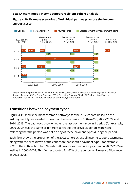#### **Box 4.4 (continued): Income support recipient cohort analysis**

## **Figure 4.10: Example scenarios of individual pathways across the income support system**



## **Transitions between payment types**

Figure 4.11 shows the most common pathways for the 2002 cohort, based on the last payment type recorded for each of the time periods: 2002–2005; 2006–2009; and 2010–2013. The pathways show whether the last payment type in 1 period (for example, 2006–2009) was the same or different to that of the previous period, with 'none' reflecting that the person was not on any of these payment types during the period.

Each flow shows the proportion of the 2002 cohort across all income support payments, along with the breakdown of the cohort on that specific payment type—for example, 27% of the 2002 cohort had Newstart Allowance as their latest payment in 2002–2005 as well as in 2006–2009. This flow accounted for 67% of the cohort on Newstart Allowance in 2002–2005.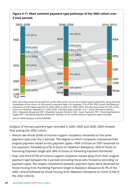## **Figure 4.11: Most common payment type pathways of the 2002 cohort over 3 time periods**



breakdown of the cohort on that specific payment type—for example, 27% of the 2002 cohort had Newstart Allowance as their latest payment in 2002–2005 as well as in 2006–2009. This flow accounted for 67% of the cohort on Newstart Allowance in 2002–2005. Payment types include: YLO = Youth Allowance (Other); NSA = Newstart Allowance; DSP = Disability Support Pension; CAR = Carer Payment; PPS = Parenting Payment Single; PPP = Parenting Payment Partnered. See Box 4.2 for further detail on payment types included.

*Source:* AIHW analysis of DSS DOMINO.

Analysis of the last payment type recorded in 2002–2005 and 2006–2009 showed that among the 2002 cohort:

- Almost two-thirds (63%) of income support recipients remained on the same payment type over the 2 periods. The degree to which recipients maintained their original payment varied across payment types—95% of those on DSP remained on this payment, followed by 67% of those on Newstart Allowance, 56% of those on Parenting Payment Single and 38% of those on Parenting Payment Partnered.
- Over one-third (37%) of income support recipients moved away from their original payment type between the 2 periods (including those who moved to recording no payment type). The largest movements between payment types were observed for those moving from Parenting Payment Single to Newstart Allowance (6.7% of the 2002 cohort) followed by those moving from Newstart Allowance to 'none' (5.6% of the 2002 cohort).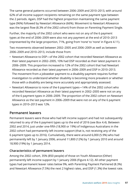The same general patterns occurred between 2006–2009 and 2010–2013, with around 62% of all income support recipients remaining on the same payment type between the 2 periods. Again, DSP had the highest proportion maintaining the same payment type (96%) followed by Newstart Allowance (66%). Movement to Newstart Allowance was the largest flow (8.3% of the 2002 cohort) from those on Parenting Payment Single.

Further, the majority of the 2002 cohort who were not on any of the 6 payment types at the end of 2006–2009 were also not any payment at the end of 2010–2013 (represented by the large proportion, 71%, going from 'none' to 'none' in Figure 4.11).

Two movements observed between 2002–2005 and 2006–2009 as well as between 2006–2009 and 2010–2013, include those from:

- Newstart Allowance to DSP—of the 2002 cohort that recorded Newstart Allowance as their latest payment in 2002–2005, 10% had DSP recorded as their latest payment in 2006–2009. This proportion increased to 12% of the 2002 cohort that had Newstart Allowance recorded as their latest payment in 2006–2009 and DSP in 2010–2013. The movement from a jobseeker payment to a disability payment requires further investigation to understand whether disability is becoming more prevalent or whether those with a disability are being more accurately and appropriately assessed.
- Newstart Allowance to none of the 6 payment types—14% of the 2002 cohort who recorded Newstart Allowance as their latest payment in 2002–2005 were not on any of the 6 payment types in 2006–2009. The proportion of the 2002 cohort on Newstart Allowance as the last payment in 2006–2009 that were not on any of the 6 payment types in 2010–2013 was 12%.

## **Permanent leavers**

Permanent leavers were those who had left income support and had not subsequently returned to any of the 6 payment types up to the end of 2016 (see Box 4.4). Between 2002 and 2014, just under one-fifth (18,900 or 19%) of Indigenous Australians in the 2002 cohort had permanently left income support (that is, not receiving any of the 6 payment types up to 2016). Cumulatively, there were around 6,000 (5.9%) who had permanently left by 1 January 2006, around 11,800 (12%) by 1 January 2010 and around 18,900 (19%) by 1 January 2014.

#### **Characteristics of permanent leavers**

Among the 2002 cohort, 35% (850 people) of those on Youth Allowance (Other) permanently left income support by 1 January 2006 (Figure 4.12). All other payment types had permanent leaver rates below 9%, with Parenting Payment Partnered (8.3%) and Newstart Allowance (7.5%) the next 2 highest rates, and DSP (1.3%) the lowest rate.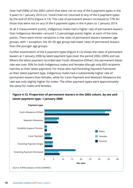Over half (58%) of the 2002 cohort that were not on any of the 6 payment types in the 4 years to 1 January 2010 (i.e. 'none') had not returned to any of the 6 payment types by the end of 2016 (Figure 4.13). This rate of permanent leavers increased to 77% for those that were not on any of the 6 payment types in the 4 years to 1 January 2014.

At all 3 measurement points, Indigenous males had a higher rate of permanent leavers than Indigenous females—around 1.5 percentage points higher at each of the time points. There were minor variations in the rates of permanent leavers between age groups, with 1 exception: the 45–50 age group had lower rates of permanent leavers than the younger age groups.

Further examination of the 6 payment types (Figure 4.12) shows the rates of permanent leavers at 1 January 2006 by latest payment type (over the period 2002–2005) and sex. Where the latest payment recorded was Youth Allowance (Other), the permanent leaver rate was over 30% for both Indigenous males and females (though only 850 recipients had this as their latest payment). For those who had Parenting Payment Partnered as their latest payment type, Indigenous males had a substantially higher rate of permanent leavers than females, while for Carer Payment and Newstart Allowance the rate was only slightly higher for males. The other payment types were approximately the same for males and females.

## **Figure 4.12: Proportion of permanent leavers in the 2002 cohort, by sex and latest payment type, 1 January 2006**

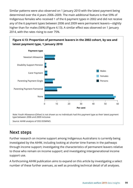Similar patterns were also observed on 1 January 2010 with the latest payment being determined over the 4 years 2006–2009. The main additional feature is that 59% of Indigenous females who received 1 of the 6 payment types in 2002 and did not receive any of the 6 payment types between 2006 and 2009 were permanent leavers—slightly higher than for males (56%) (Figure 4.13). A similar effect was observed on 1 January 2014, with the rates rising to over 75%.



*Source:* AIHW analysis of DSS DOMINO.

# **Next steps**

Further research on income support among Indigenous Australians is currently being investigated by the AIHW, including looking at shorter time frames in the pathways through income support; investigating the characteristics of permanent leavers relative to those who remain on income support; and investigating intergenerational income support use.

A forthcoming AIHW publication aims to expand on this article by investigating a select number of these further avenues, as well as providing technical detail of all analyses.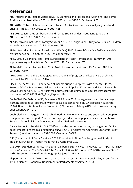# **References**

ABS (Australian Bureau of Statistics) 2014. Estimates and Projections, Aboriginal and Torres Strait Islander Australians, 2001 to 2026. ABS cat. no. 3238.0. Canberra: ABS.

ABS 2018a. Table 1: labour force status by sex, Australia—trend, seasonally adjusted and original. ABS cat. no. 6202.0. Canberra: ABS.

ABS 2018b. Estimates of Aboriginal and Torres Strait Islander Australians, June 2016. ABS cat. no. 3238.0.55.001. Canberra: ABS.

AIFS (Australian Institute of Family Studies) 2015. The Longitudinal Study of Australian Children annual statistical report 2014. Melbourne: AIFS.

AIHW (Australian Institute of Health and Welfare) 2015. Australia's welfare 2015. Australia's welfare series no. 12. Cat. no. AUS 189. Canberra: AIHW.

AIHW 2017a. Aboriginal and Torres Strait Islander Health Performance Framework 2017: supplementary online tables. Cat. no. WEB 170. Canberra: AIHW.

AIHW 2017b. Australia's welfare 2017. Australia's welfare series no. 13. Cat. no. AUS 214. Canberra: AIHW.

AIHW 2018. Closing the Gap targets: 2017 analysis of progress and key drivers of change. Cat. no. IHW 193. Canberra: AIHW.

Black D & Lee WS 2009. Experiences of income support recipients with a mental illness. Projects 6/2008. Melbourne: Melbourne Institute of Applied Economic and Social Research. Viewed 20 February 2019, <https://melbourneinstitute.unimelb.edu.au/assets/documents/ sprs-reports/2005-2009/6-08\_Final\_Report.pdf>.

Cobb-Clark DA, Dahmann SC, Salamanca N & Zhu A 2017. Intergenerational disadvantage: learning about equal opportunity from social assistance receipt. IZA discussion paper no. 11070. Bonn: Institute of Labor Economics (IZA). Viewed 30 May 2019, <https://www.iza.org/ publications/dp/11070>.

Cobb-Clark DA & Gørgens T 2009. Childhood family circumstances and young adult people's receipt of income support. Youth in Focus project discussion paper series no. 7. Canberra: Research School of Social Sciences, Australian National University.

Daly A, Henry R & Smith DE 2002. Welfare and the domestic economy of Indigenous families: policy implications from a longitudinal survey. CAEPR (Centre for Aboriginal Economic Policy Research) working paper no. 239/2002. Canberra: CAEPR.

DSS (Department of Social Services) 2015. Footprints in Time: The Longitudinal Study of Indigenous Children—report from Wave 5. Canberra: DSS.

DSS 2016. DSS demographics June 2016. Canberra: DSS. Viewed 14 May 2019, <https://data.gov. au/data/dataset/cff2ae8a-55e4-47db-a66d-e177fe0ac6a0/resource/829fc910-e263-4a59-ad33- 1cd1159ce0df/download/dss-demographics-june-2016.xlsx>.

Klapdor M & Arthur D 2016. Welfare—what does it cost? In: Briefing book—key issues for the 45th Parliament. Canberra: Department of Parliamentary Services, 76–8.